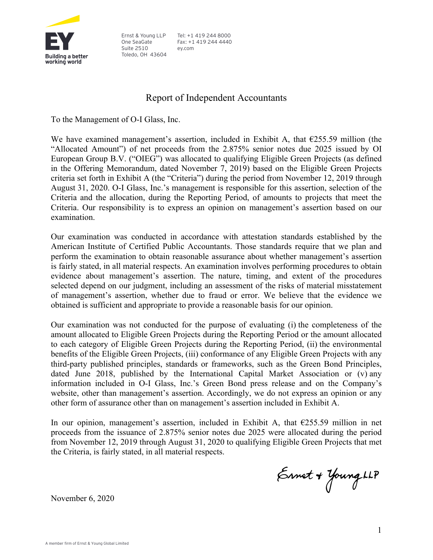

Ernst & Young LLP One SeaGate Suite 2510 Toledo, OH 43604

Tel: +1 419 244 8000 Fax: +1 419 244 4440 ey.com

## Report of Independent Accountants

To the Management of O-I Glass, Inc.

We have examined management's assertion, included in Exhibit A, that  $E255.59$  million (the "Allocated Amount") of net proceeds from the 2.875% senior notes due 2025 issued by OI European Group B.V. ("OIEG") was allocated to qualifying Eligible Green Projects (as defined in the Offering Memorandum, dated November 7, 2019) based on the Eligible Green Projects criteria set forth in Exhibit A (the "Criteria") during the period from November 12, 2019 through August 31, 2020. O-I Glass, Inc.'s management is responsible for this assertion, selection of the Criteria and the allocation, during the Reporting Period, of amounts to projects that meet the Criteria. Our responsibility is to express an opinion on management's assertion based on our examination.

Our examination was conducted in accordance with attestation standards established by the American Institute of Certified Public Accountants. Those standards require that we plan and perform the examination to obtain reasonable assurance about whether management's assertion is fairly stated, in all material respects. An examination involves performing procedures to obtain evidence about management's assertion. The nature, timing, and extent of the procedures selected depend on our judgment, including an assessment of the risks of material misstatement of management's assertion, whether due to fraud or error. We believe that the evidence we obtained is sufficient and appropriate to provide a reasonable basis for our opinion.

Our examination was not conducted for the purpose of evaluating (i) the completeness of the amount allocated to Eligible Green Projects during the Reporting Period or the amount allocated to each category of Eligible Green Projects during the Reporting Period, (ii) the environmental benefits of the Eligible Green Projects, (iii) conformance of any Eligible Green Projects with any third-party published principles, standards or frameworks, such as the Green Bond Principles, dated June 2018, published by the International Capital Market Association or (v) any information included in O-I Glass, Inc.'s Green Bond press release and on the Company's website, other than management's assertion. Accordingly, we do not express an opinion or any other form of assurance other than on management's assertion included in Exhibit A.

In our opinion, management's assertion, included in Exhibit A, that  $\epsilon$ 255.59 million in net proceeds from the issuance of 2.875% senior notes due 2025 were allocated during the period from November 12, 2019 through August 31, 2020 to qualifying Eligible Green Projects that met the Criteria, is fairly stated, in all material respects.

Ernet + Young LLP

November 6, 2020